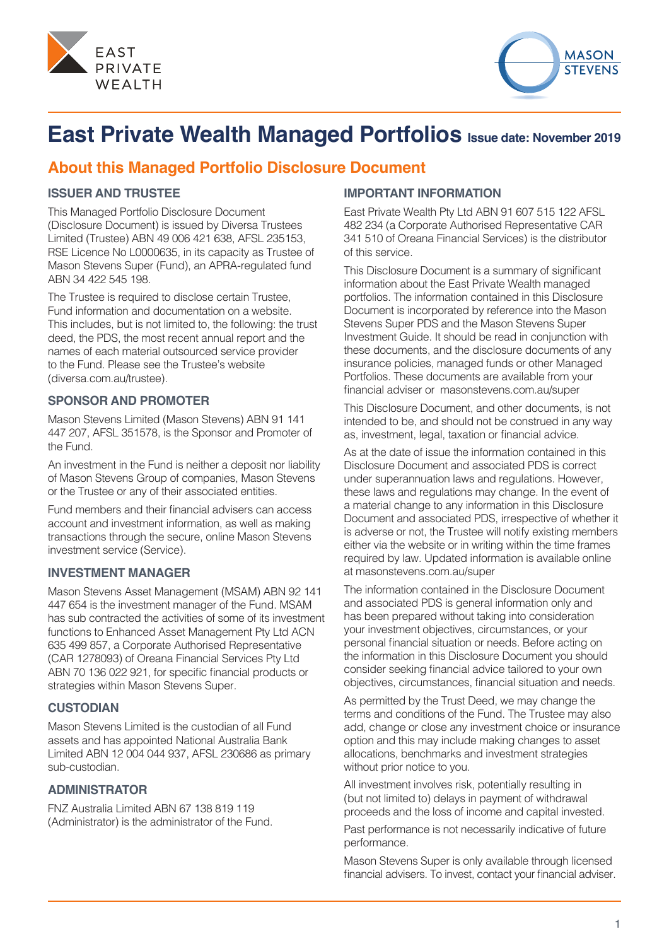



# **East Private Wealth Managed Portfolios Issue date: November 2019**

## **About this Managed Portfolio Disclosure Document**

#### **ISSUER AND TRUSTEE**

This Managed Portfolio Disclosure Document (Disclosure Document) is issued by Diversa Trustees Limited (Trustee) ABN 49 006 421 638, AFSL 235153, RSE Licence No L0000635, in its capacity as Trustee of Mason Stevens Super (Fund), an APRA-regulated fund ABN 34 422 545 198.

The Trustee is required to disclose certain Trustee, Fund information and documentation on a website. This includes, but is not limited to, the following: the trust deed, the PDS, the most recent annual report and the names of each material outsourced service provider to the Fund. Please see the Trustee's website (diversa.com.au/trustee).

#### **SPONSOR AND PROMOTER**

Mason Stevens Limited (Mason Stevens) ABN 91 141 447 207, AFSL 351578, is the Sponsor and Promoter of the Fund.

An investment in the Fund is neither a deposit nor liability of Mason Stevens Group of companies, Mason Stevens or the Trustee or any of their associated entities.

Fund members and their financial advisers can access account and investment information, as well as making transactions through the secure, online Mason Stevens investment service (Service).

#### **INVESTMENT MANAGER**

Mason Stevens Asset Management (MSAM) ABN 92 141 447 654 is the investment manager of the Fund. MSAM has sub contracted the activities of some of its investment functions to Enhanced Asset Management Pty Ltd ACN 635 499 857, a Corporate Authorised Representative (CAR 1278093) of Oreana Financial Services Pty Ltd ABN 70 136 022 921, for specific financial products or strategies within Mason Stevens Super.

#### **CUSTODIAN**

Mason Stevens Limited is the custodian of all Fund assets and has appointed National Australia Bank Limited ABN 12 004 044 937, AFSL 230686 as primary sub-custodian.

#### **ADMINISTRATOR**

FNZ Australia Limited ABN 67 138 819 119 (Administrator) is the administrator of the Fund.

#### **IMPORTANT INFORMATION**

East Private Wealth Pty Ltd ABN 91 607 515 122 AFSL 482 234 (a Corporate Authorised Representative CAR 341 510 of Oreana Financial Services) is the distributor of this service.

This Disclosure Document is a summary of significant information about the East Private Wealth managed portfolios. The information contained in this Disclosure Document is incorporated by reference into the Mason Stevens Super PDS and the Mason Stevens Super Investment Guide. It should be read in conjunction with these documents, and the disclosure documents of any insurance policies, managed funds or other Managed Portfolios. These documents are available from your financial adviser or masonstevens.com.au/super

This Disclosure Document, and other documents, is not intended to be, and should not be construed in any way as, investment, legal, taxation or financial advice.

As at the date of issue the information contained in this Disclosure Document and associated PDS is correct under superannuation laws and regulations. However, these laws and regulations may change. In the event of a material change to any information in this Disclosure Document and associated PDS, irrespective of whether it is adverse or not, the Trustee will notify existing members either via the website or in writing within the time frames required by law. Updated information is available online at masonstevens.com.au/super

The information contained in the Disclosure Document and associated PDS is general information only and has been prepared without taking into consideration your investment objectives, circumstances, or your personal financial situation or needs. Before acting on the information in this Disclosure Document you should consider seeking financial advice tailored to your own objectives, circumstances, financial situation and needs.

As permitted by the Trust Deed, we may change the terms and conditions of the Fund. The Trustee may also add, change or close any investment choice or insurance option and this may include making changes to asset allocations, benchmarks and investment strategies without prior notice to you.

All investment involves risk, potentially resulting in (but not limited to) delays in payment of withdrawal proceeds and the loss of income and capital invested.

Past performance is not necessarily indicative of future performance.

Mason Stevens Super is only available through licensed financial advisers. To invest, contact your financial adviser.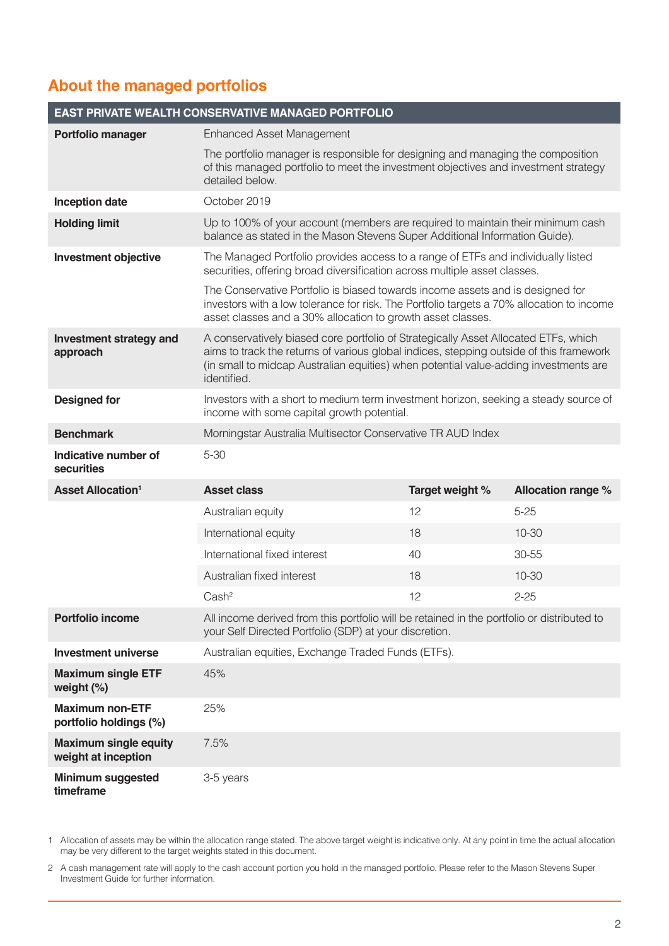# **About the managed portfolios**

| EAST PRIVATE WEALTH CONSERVATIVE MANAGED PORTFOLIO  |                                                                                                                                                                                                                                                                                       |                 |                           |
|-----------------------------------------------------|---------------------------------------------------------------------------------------------------------------------------------------------------------------------------------------------------------------------------------------------------------------------------------------|-----------------|---------------------------|
| Portfolio manager                                   | <b>Enhanced Asset Management</b>                                                                                                                                                                                                                                                      |                 |                           |
|                                                     | The portfolio manager is responsible for designing and managing the composition<br>of this managed portfolio to meet the investment objectives and investment strategy<br>detailed below.                                                                                             |                 |                           |
| <b>Inception date</b>                               | October 2019                                                                                                                                                                                                                                                                          |                 |                           |
| <b>Holding limit</b>                                | Up to 100% of your account (members are required to maintain their minimum cash<br>balance as stated in the Mason Stevens Super Additional Information Guide).                                                                                                                        |                 |                           |
| <b>Investment objective</b>                         | The Managed Portfolio provides access to a range of ETFs and individually listed<br>securities, offering broad diversification across multiple asset classes.                                                                                                                         |                 |                           |
|                                                     | The Conservative Portfolio is biased towards income assets and is designed for<br>investors with a low tolerance for risk. The Portfolio targets a 70% allocation to income<br>asset classes and a 30% allocation to growth asset classes.                                            |                 |                           |
| <b>Investment strategy and</b><br>approach          | A conservatively biased core portfolio of Strategically Asset Allocated ETFs, which<br>aims to track the returns of various global indices, stepping outside of this framework<br>(in small to midcap Australian equities) when potential value-adding investments are<br>identified. |                 |                           |
| <b>Designed for</b>                                 | Investors with a short to medium term investment horizon, seeking a steady source of<br>income with some capital growth potential.                                                                                                                                                    |                 |                           |
| <b>Benchmark</b>                                    | Morningstar Australia Multisector Conservative TR AUD Index                                                                                                                                                                                                                           |                 |                           |
| Indicative number of<br>securities                  | $5 - 30$                                                                                                                                                                                                                                                                              |                 |                           |
| <b>Asset Allocation<sup>1</sup></b>                 | <b>Asset class</b>                                                                                                                                                                                                                                                                    | Target weight % | <b>Allocation range %</b> |
|                                                     | Australian equity                                                                                                                                                                                                                                                                     | 12              | $5 - 25$                  |
|                                                     | International equity                                                                                                                                                                                                                                                                  | 18              | $10 - 30$                 |
|                                                     | International fixed interest                                                                                                                                                                                                                                                          | 40              | 30-55                     |
|                                                     | Australian fixed interest                                                                                                                                                                                                                                                             | 18              | $10 - 30$                 |
|                                                     | Cash <sup>2</sup>                                                                                                                                                                                                                                                                     | 12              | $2 - 25$                  |
| <b>Portfolio income</b>                             | All income derived from this portfolio will be retained in the portfolio or distributed to<br>your Self Directed Portfolio (SDP) at your discretion.                                                                                                                                  |                 |                           |
| <b>Investment universe</b>                          | Australian equities, Exchange Traded Funds (ETFs).                                                                                                                                                                                                                                    |                 |                           |
| <b>Maximum single ETF</b><br>weight $(\%)$          | 45%                                                                                                                                                                                                                                                                                   |                 |                           |
| <b>Maximum non-ETF</b><br>portfolio holdings (%)    | 25%                                                                                                                                                                                                                                                                                   |                 |                           |
| <b>Maximum single equity</b><br>weight at inception | 7.5%                                                                                                                                                                                                                                                                                  |                 |                           |
| <b>Minimum suggested</b><br>timeframe               | 3-5 years                                                                                                                                                                                                                                                                             |                 |                           |

1 Allocation of assets may be within the allocation range stated. The above target weight is indicative only. At any point in time the actual allocation may be very different to the target weights stated in this document.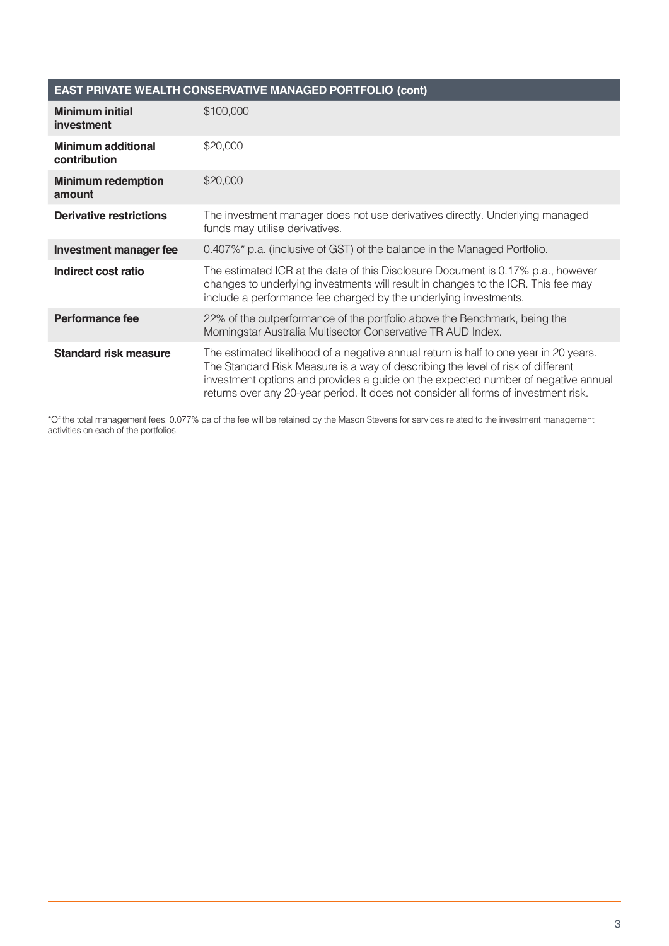| EAST PRIVATE WEALTH CONSERVATIVE MANAGED PORTFOLIO (cont) |                                                                                                                                                                                                                                                                                                                                                      |  |
|-----------------------------------------------------------|------------------------------------------------------------------------------------------------------------------------------------------------------------------------------------------------------------------------------------------------------------------------------------------------------------------------------------------------------|--|
| <b>Minimum initial</b><br>investment                      | \$100,000                                                                                                                                                                                                                                                                                                                                            |  |
| <b>Minimum additional</b><br>contribution                 | \$20,000                                                                                                                                                                                                                                                                                                                                             |  |
| <b>Minimum redemption</b><br>amount                       | \$20,000                                                                                                                                                                                                                                                                                                                                             |  |
| <b>Derivative restrictions</b>                            | The investment manager does not use derivatives directly. Underlying managed<br>funds may utilise derivatives.                                                                                                                                                                                                                                       |  |
| Investment manager fee                                    | 0.407%* p.a. (inclusive of GST) of the balance in the Managed Portfolio.                                                                                                                                                                                                                                                                             |  |
| Indirect cost ratio                                       | The estimated ICR at the date of this Disclosure Document is 0.17% p.a., however<br>changes to underlying investments will result in changes to the ICR. This fee may<br>include a performance fee charged by the underlying investments.                                                                                                            |  |
| Performance fee                                           | 22% of the outperformance of the portfolio above the Benchmark, being the<br>Morningstar Australia Multisector Conservative TR AUD Index.                                                                                                                                                                                                            |  |
| <b>Standard risk measure</b>                              | The estimated likelihood of a negative annual return is half to one year in 20 years.<br>The Standard Risk Measure is a way of describing the level of risk of different<br>investment options and provides a guide on the expected number of negative annual<br>returns over any 20-year period. It does not consider all forms of investment risk. |  |

\*Of the total management fees, 0.077% pa of the fee will be retained by the Mason Stevens for services related to the investment management activities on each of the portfolios.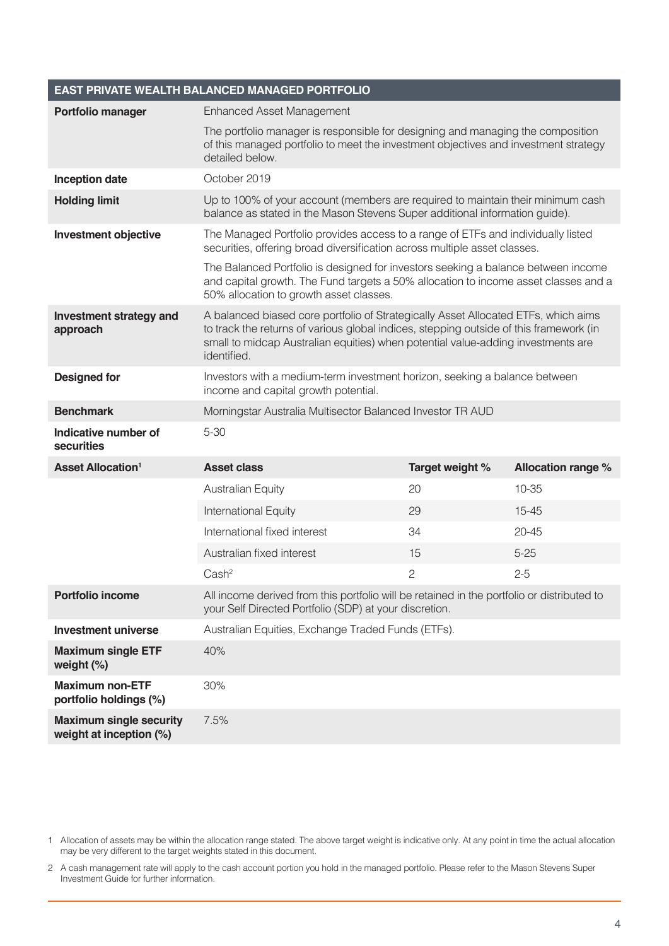|                                                           | EAST PRIVATE WEALTH BALANCED MANAGED PORTFOLIO                                                                                                                                                                                                                                  |                                                            |                           |  |
|-----------------------------------------------------------|---------------------------------------------------------------------------------------------------------------------------------------------------------------------------------------------------------------------------------------------------------------------------------|------------------------------------------------------------|---------------------------|--|
| Portfolio manager                                         | <b>Enhanced Asset Management</b>                                                                                                                                                                                                                                                |                                                            |                           |  |
|                                                           | The portfolio manager is responsible for designing and managing the composition<br>of this managed portfolio to meet the investment objectives and investment strategy<br>detailed below.                                                                                       |                                                            |                           |  |
| <b>Inception date</b>                                     | October 2019                                                                                                                                                                                                                                                                    |                                                            |                           |  |
| <b>Holding limit</b>                                      | Up to 100% of your account (members are required to maintain their minimum cash<br>balance as stated in the Mason Stevens Super additional information guide).                                                                                                                  |                                                            |                           |  |
| <b>Investment objective</b>                               | The Managed Portfolio provides access to a range of ETFs and individually listed<br>securities, offering broad diversification across multiple asset classes.                                                                                                                   |                                                            |                           |  |
|                                                           | The Balanced Portfolio is designed for investors seeking a balance between income<br>and capital growth. The Fund targets a 50% allocation to income asset classes and a<br>50% allocation to growth asset classes.                                                             |                                                            |                           |  |
| <b>Investment strategy and</b><br>approach                | A balanced biased core portfolio of Strategically Asset Allocated ETFs, which aims<br>to track the returns of various global indices, stepping outside of this framework (in<br>small to midcap Australian equities) when potential value-adding investments are<br>identified. |                                                            |                           |  |
| <b>Designed for</b>                                       | Investors with a medium-term investment horizon, seeking a balance between<br>income and capital growth potential.                                                                                                                                                              |                                                            |                           |  |
| <b>Benchmark</b>                                          |                                                                                                                                                                                                                                                                                 | Morningstar Australia Multisector Balanced Investor TR AUD |                           |  |
| Indicative number of<br>securities                        | $5 - 30$                                                                                                                                                                                                                                                                        |                                                            |                           |  |
| <b>Asset Allocation<sup>1</sup></b>                       | <b>Asset class</b>                                                                                                                                                                                                                                                              | Target weight %                                            | <b>Allocation range %</b> |  |
|                                                           | <b>Australian Equity</b>                                                                                                                                                                                                                                                        | 20                                                         | $10 - 35$                 |  |
|                                                           | International Equity                                                                                                                                                                                                                                                            | 29                                                         | $15 - 45$                 |  |
|                                                           | International fixed interest                                                                                                                                                                                                                                                    | 34                                                         | $20 - 45$                 |  |
|                                                           | Australian fixed interest                                                                                                                                                                                                                                                       | 15                                                         | $5 - 25$                  |  |
|                                                           | Cash <sup>2</sup>                                                                                                                                                                                                                                                               | $\overline{c}$                                             | $2 - 5$                   |  |
| <b>Portfolio income</b>                                   | All income derived from this portfolio will be retained in the portfolio or distributed to<br>your Self Directed Portfolio (SDP) at your discretion.                                                                                                                            |                                                            |                           |  |
| <b>Investment universe</b>                                | Australian Equities, Exchange Traded Funds (ETFs).                                                                                                                                                                                                                              |                                                            |                           |  |
| <b>Maximum single ETF</b><br>weight (%)                   | 40%                                                                                                                                                                                                                                                                             |                                                            |                           |  |
| <b>Maximum non-ETF</b><br>portfolio holdings (%)          | 30%                                                                                                                                                                                                                                                                             |                                                            |                           |  |
| <b>Maximum single security</b><br>weight at inception (%) | 7.5%                                                                                                                                                                                                                                                                            |                                                            |                           |  |

1 Allocation of assets may be within the allocation range stated. The above target weight is indicative only. At any point in time the actual allocation may be very different to the target weights stated in this document.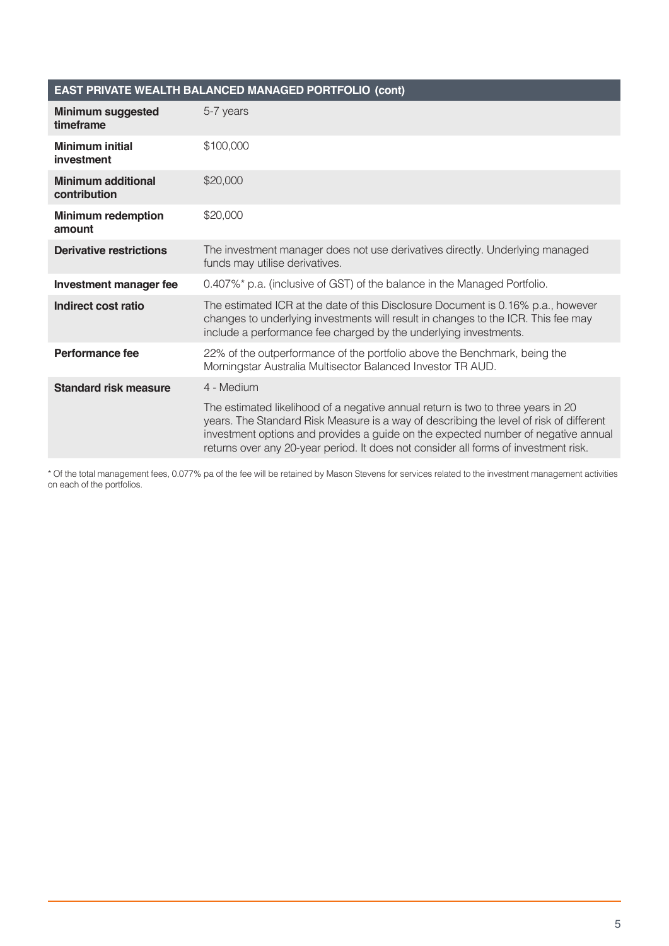| <b>EAST PRIVATE WEALTH BALANCED MANAGED PORTFOLIO (cont)</b> |                                                                                                                                                                                                                                                                                                                                                        |  |
|--------------------------------------------------------------|--------------------------------------------------------------------------------------------------------------------------------------------------------------------------------------------------------------------------------------------------------------------------------------------------------------------------------------------------------|--|
| <b>Minimum suggested</b><br>timeframe                        | 5-7 years                                                                                                                                                                                                                                                                                                                                              |  |
| <b>Minimum initial</b><br>investment                         | \$100,000                                                                                                                                                                                                                                                                                                                                              |  |
| <b>Minimum additional</b><br>contribution                    | \$20,000                                                                                                                                                                                                                                                                                                                                               |  |
| <b>Minimum redemption</b><br>amount                          | \$20,000                                                                                                                                                                                                                                                                                                                                               |  |
| <b>Derivative restrictions</b>                               | The investment manager does not use derivatives directly. Underlying managed<br>funds may utilise derivatives.                                                                                                                                                                                                                                         |  |
| <b>Investment manager fee</b>                                | 0.407%* p.a. (inclusive of GST) of the balance in the Managed Portfolio.                                                                                                                                                                                                                                                                               |  |
| Indirect cost ratio                                          | The estimated ICR at the date of this Disclosure Document is 0.16% p.a., however<br>changes to underlying investments will result in changes to the ICR. This fee may<br>include a performance fee charged by the underlying investments.                                                                                                              |  |
| <b>Performance fee</b>                                       | 22% of the outperformance of the portfolio above the Benchmark, being the<br>Morningstar Australia Multisector Balanced Investor TR AUD.                                                                                                                                                                                                               |  |
| <b>Standard risk measure</b>                                 | 4 - Medium                                                                                                                                                                                                                                                                                                                                             |  |
|                                                              | The estimated likelihood of a negative annual return is two to three years in 20<br>years. The Standard Risk Measure is a way of describing the level of risk of different<br>investment options and provides a guide on the expected number of negative annual<br>returns over any 20-year period. It does not consider all forms of investment risk. |  |

\* Of the total management fees, 0.077% pa of the fee will be retained by Mason Stevens for services related to the investment management activities on each of the portfolios.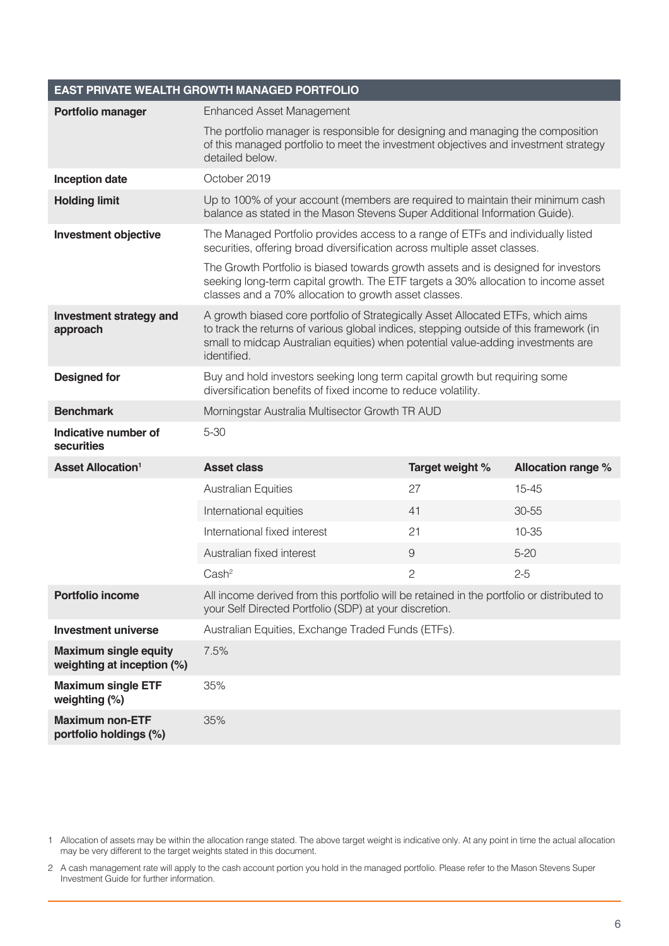|                                                            | <b>EAST PRIVATE WEALTH GROWTH MANAGED PORTFOLIO</b>                                                                                                                                                                                                                           |                 |                           |
|------------------------------------------------------------|-------------------------------------------------------------------------------------------------------------------------------------------------------------------------------------------------------------------------------------------------------------------------------|-----------------|---------------------------|
| Portfolio manager                                          | <b>Enhanced Asset Management</b>                                                                                                                                                                                                                                              |                 |                           |
|                                                            | The portfolio manager is responsible for designing and managing the composition<br>of this managed portfolio to meet the investment objectives and investment strategy<br>detailed below.                                                                                     |                 |                           |
| <b>Inception date</b>                                      | October 2019                                                                                                                                                                                                                                                                  |                 |                           |
| <b>Holding limit</b>                                       | Up to 100% of your account (members are required to maintain their minimum cash<br>balance as stated in the Mason Stevens Super Additional Information Guide).                                                                                                                |                 |                           |
| <b>Investment objective</b>                                | The Managed Portfolio provides access to a range of ETFs and individually listed<br>securities, offering broad diversification across multiple asset classes.                                                                                                                 |                 |                           |
|                                                            | The Growth Portfolio is biased towards growth assets and is designed for investors<br>seeking long-term capital growth. The ETF targets a 30% allocation to income asset<br>classes and a 70% allocation to growth asset classes.                                             |                 |                           |
| <b>Investment strategy and</b><br>approach                 | A growth biased core portfolio of Strategically Asset Allocated ETFs, which aims<br>to track the returns of various global indices, stepping outside of this framework (in<br>small to midcap Australian equities) when potential value-adding investments are<br>identified. |                 |                           |
| <b>Designed for</b>                                        | Buy and hold investors seeking long term capital growth but requiring some<br>diversification benefits of fixed income to reduce volatility.                                                                                                                                  |                 |                           |
| <b>Benchmark</b>                                           | Morningstar Australia Multisector Growth TR AUD                                                                                                                                                                                                                               |                 |                           |
| Indicative number of<br>securities                         | $5 - 30$                                                                                                                                                                                                                                                                      |                 |                           |
| <b>Asset Allocation<sup>1</sup></b>                        | <b>Asset class</b>                                                                                                                                                                                                                                                            | Target weight % | <b>Allocation range %</b> |
|                                                            | <b>Australian Equities</b>                                                                                                                                                                                                                                                    | 27              | $15 - 45$                 |
|                                                            | International equities                                                                                                                                                                                                                                                        | 41              | 30-55                     |
|                                                            | International fixed interest                                                                                                                                                                                                                                                  | 21              | $10 - 35$                 |
|                                                            | Australian fixed interest                                                                                                                                                                                                                                                     | 9               | $5 - 20$                  |
|                                                            | Cash <sup>2</sup>                                                                                                                                                                                                                                                             | $\overline{c}$  | $2 - 5$                   |
| <b>Portfolio income</b>                                    | All income derived from this portfolio will be retained in the portfolio or distributed to<br>your Self Directed Portfolio (SDP) at your discretion.                                                                                                                          |                 |                           |
| <b>Investment universe</b>                                 | Australian Equities, Exchange Traded Funds (ETFs).                                                                                                                                                                                                                            |                 |                           |
| <b>Maximum single equity</b><br>weighting at inception (%) | 7.5%                                                                                                                                                                                                                                                                          |                 |                           |
| <b>Maximum single ETF</b><br>weighting (%)                 | 35%                                                                                                                                                                                                                                                                           |                 |                           |
| <b>Maximum non-ETF</b><br>portfolio holdings (%)           | 35%                                                                                                                                                                                                                                                                           |                 |                           |

1 Allocation of assets may be within the allocation range stated. The above target weight is indicative only. At any point in time the actual allocation may be very different to the target weights stated in this document.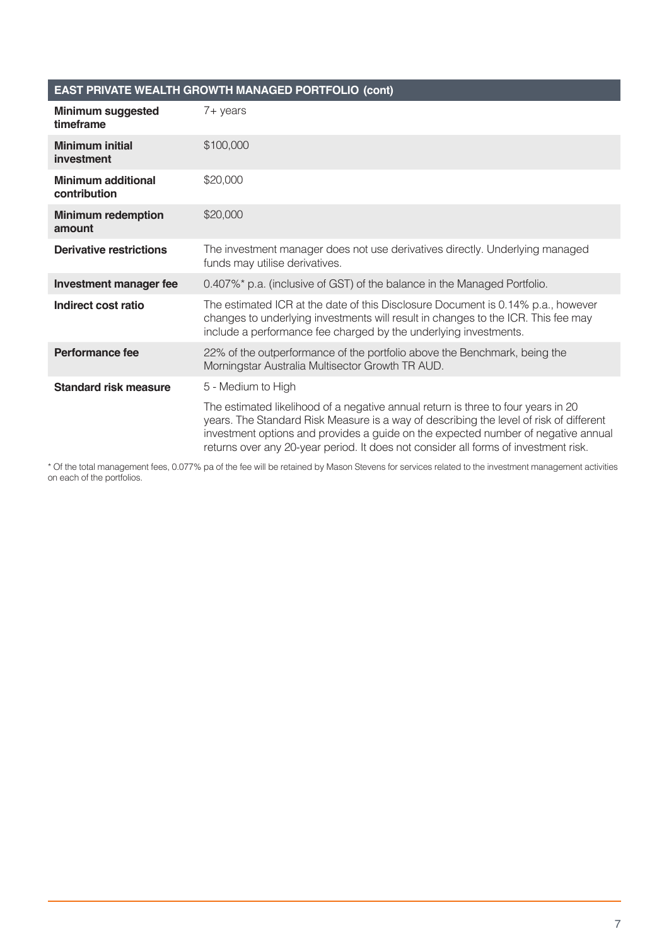#### **EAST PRIVATE WEALTH GROWTH MANAGED PORTFOLIO (cont)**

| <b>Minimum suggested</b><br>timeframe     | 7+ years                                                                                                                                                                                                                                                                                                                                                |
|-------------------------------------------|---------------------------------------------------------------------------------------------------------------------------------------------------------------------------------------------------------------------------------------------------------------------------------------------------------------------------------------------------------|
| <b>Minimum initial</b><br>investment      | \$100,000                                                                                                                                                                                                                                                                                                                                               |
| <b>Minimum additional</b><br>contribution | \$20,000                                                                                                                                                                                                                                                                                                                                                |
| <b>Minimum redemption</b><br>amount       | \$20,000                                                                                                                                                                                                                                                                                                                                                |
| <b>Derivative restrictions</b>            | The investment manager does not use derivatives directly. Underlying managed<br>funds may utilise derivatives.                                                                                                                                                                                                                                          |
| <b>Investment manager fee</b>             | 0.407%* p.a. (inclusive of GST) of the balance in the Managed Portfolio.                                                                                                                                                                                                                                                                                |
| Indirect cost ratio                       | The estimated ICR at the date of this Disclosure Document is 0.14% p.a., however<br>changes to underlying investments will result in changes to the ICR. This fee may<br>include a performance fee charged by the underlying investments.                                                                                                               |
| <b>Performance fee</b>                    | 22% of the outperformance of the portfolio above the Benchmark, being the<br>Morningstar Australia Multisector Growth TR AUD.                                                                                                                                                                                                                           |
| <b>Standard risk measure</b>              | 5 - Medium to High                                                                                                                                                                                                                                                                                                                                      |
|                                           | The estimated likelihood of a negative annual return is three to four years in 20<br>years. The Standard Risk Measure is a way of describing the level of risk of different<br>investment options and provides a guide on the expected number of negative annual<br>returns over any 20-year period. It does not consider all forms of investment risk. |

\* Of the total management fees, 0.077% pa of the fee will be retained by Mason Stevens for services related to the investment management activities on each of the portfolios.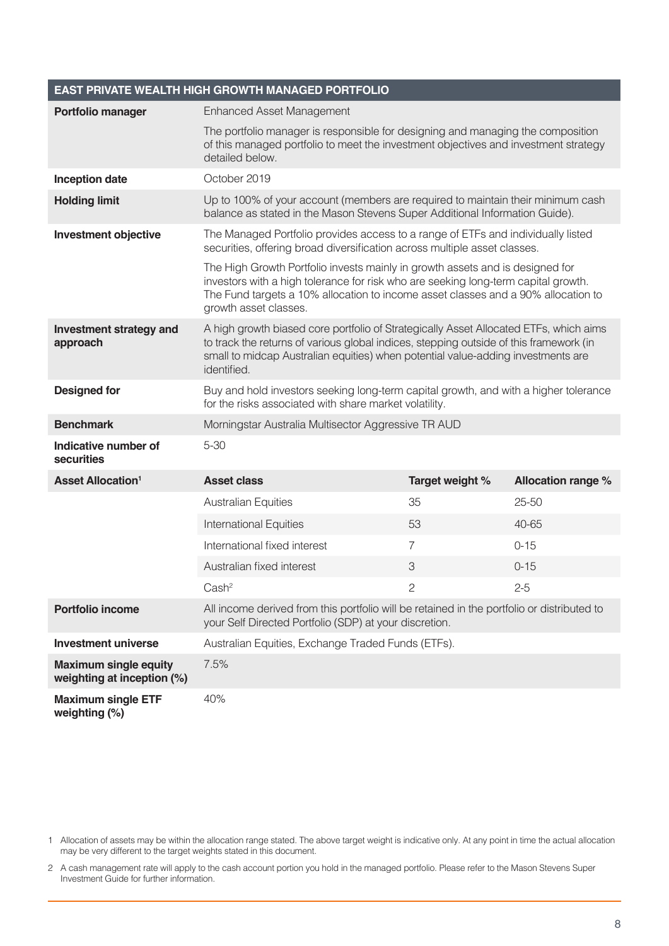| <b>EAST PRIVATE WEALTH HIGH GROWTH MANAGED PORTFOLIO</b>   |                                                                                                                                                                                                                                                                                    |                 |                           |
|------------------------------------------------------------|------------------------------------------------------------------------------------------------------------------------------------------------------------------------------------------------------------------------------------------------------------------------------------|-----------------|---------------------------|
| <b>Portfolio manager</b>                                   | <b>Enhanced Asset Management</b>                                                                                                                                                                                                                                                   |                 |                           |
|                                                            | The portfolio manager is responsible for designing and managing the composition<br>of this managed portfolio to meet the investment objectives and investment strategy<br>detailed below.                                                                                          |                 |                           |
| <b>Inception date</b>                                      | October 2019                                                                                                                                                                                                                                                                       |                 |                           |
| <b>Holding limit</b>                                       | Up to 100% of your account (members are required to maintain their minimum cash<br>balance as stated in the Mason Stevens Super Additional Information Guide).                                                                                                                     |                 |                           |
| Investment objective                                       | The Managed Portfolio provides access to a range of ETFs and individually listed<br>securities, offering broad diversification across multiple asset classes.                                                                                                                      |                 |                           |
|                                                            | The High Growth Portfolio invests mainly in growth assets and is designed for<br>investors with a high tolerance for risk who are seeking long-term capital growth.<br>The Fund targets a 10% allocation to income asset classes and a 90% allocation to<br>growth asset classes.  |                 |                           |
| <b>Investment strategy and</b><br>approach                 | A high growth biased core portfolio of Strategically Asset Allocated ETFs, which aims<br>to track the returns of various global indices, stepping outside of this framework (in<br>small to midcap Australian equities) when potential value-adding investments are<br>identified. |                 |                           |
| <b>Designed for</b>                                        | Buy and hold investors seeking long-term capital growth, and with a higher tolerance<br>for the risks associated with share market volatility.                                                                                                                                     |                 |                           |
| <b>Benchmark</b>                                           | Morningstar Australia Multisector Aggressive TR AUD                                                                                                                                                                                                                                |                 |                           |
| Indicative number of<br>securities                         | $5 - 30$                                                                                                                                                                                                                                                                           |                 |                           |
| <b>Asset Allocation<sup>1</sup></b>                        | <b>Asset class</b>                                                                                                                                                                                                                                                                 | Target weight % | <b>Allocation range %</b> |
|                                                            | <b>Australian Equities</b>                                                                                                                                                                                                                                                         | 35              | $25 - 50$                 |
|                                                            | <b>International Equities</b>                                                                                                                                                                                                                                                      | 53              | 40-65                     |
|                                                            | International fixed interest                                                                                                                                                                                                                                                       | 7               | $0 - 15$                  |
|                                                            | Australian fixed interest                                                                                                                                                                                                                                                          | 3               | $0 - 15$                  |
|                                                            | Cash <sup>2</sup>                                                                                                                                                                                                                                                                  |                 | $2 - 5$                   |
| <b>Portfolio income</b>                                    | All income derived from this portfolio will be retained in the portfolio or distributed to<br>your Self Directed Portfolio (SDP) at your discretion.                                                                                                                               |                 |                           |
| <b>Investment universe</b>                                 | Australian Equities, Exchange Traded Funds (ETFs).                                                                                                                                                                                                                                 |                 |                           |
| <b>Maximum single equity</b><br>weighting at inception (%) | 7.5%                                                                                                                                                                                                                                                                               |                 |                           |
| <b>Maximum single ETF</b><br>weighting (%)                 | 40%                                                                                                                                                                                                                                                                                |                 |                           |

1 Allocation of assets may be within the allocation range stated. The above target weight is indicative only. At any point in time the actual allocation may be very different to the target weights stated in this document.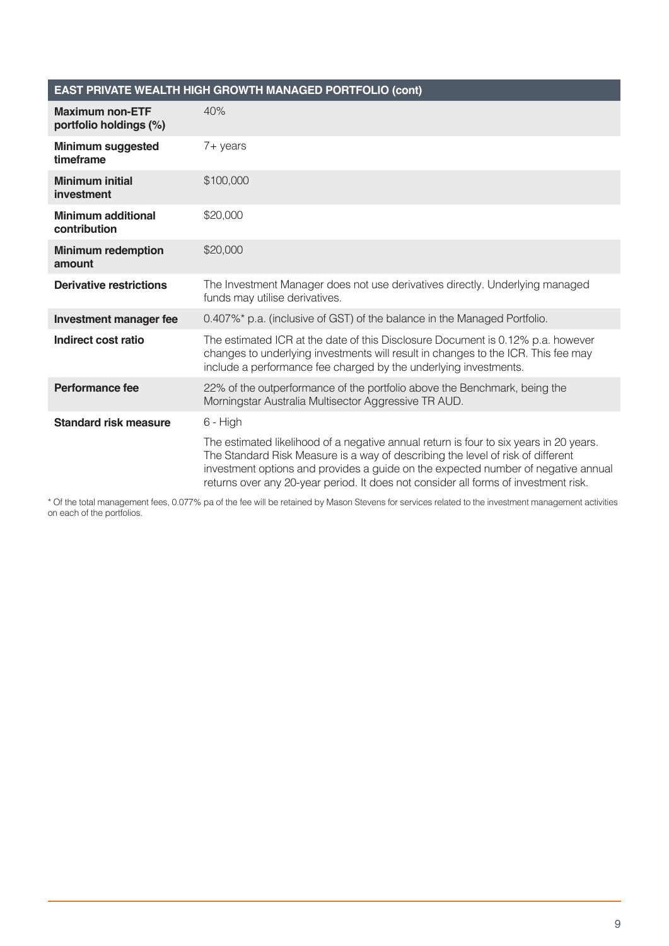#### **EAST PRIVATE WEALTH HIGH GROWTH MANAGED PORTFOLIO (cont)**

| <b>Maximum non-ETF</b><br>portfolio holdings (%) | 40%                                                                                                                                                                                                                                                                                                                                                   |
|--------------------------------------------------|-------------------------------------------------------------------------------------------------------------------------------------------------------------------------------------------------------------------------------------------------------------------------------------------------------------------------------------------------------|
| <b>Minimum suggested</b><br>timeframe            | $7 + \gamma$ ears                                                                                                                                                                                                                                                                                                                                     |
| <b>Minimum initial</b><br>investment             | \$100,000                                                                                                                                                                                                                                                                                                                                             |
| <b>Minimum additional</b><br>contribution        | \$20,000                                                                                                                                                                                                                                                                                                                                              |
| <b>Minimum redemption</b><br>amount              | \$20,000                                                                                                                                                                                                                                                                                                                                              |
| <b>Derivative restrictions</b>                   | The Investment Manager does not use derivatives directly. Underlying managed<br>funds may utilise derivatives.                                                                                                                                                                                                                                        |
| <b>Investment manager fee</b>                    | 0.407%* p.a. (inclusive of GST) of the balance in the Managed Portfolio.                                                                                                                                                                                                                                                                              |
| Indirect cost ratio                              | The estimated ICR at the date of this Disclosure Document is 0.12% p.a. however<br>changes to underlying investments will result in changes to the ICR. This fee may<br>include a performance fee charged by the underlying investments.                                                                                                              |
| <b>Performance fee</b>                           | 22% of the outperformance of the portfolio above the Benchmark, being the<br>Morningstar Australia Multisector Aggressive TR AUD.                                                                                                                                                                                                                     |
| <b>Standard risk measure</b>                     | 6 - High                                                                                                                                                                                                                                                                                                                                              |
|                                                  | The estimated likelihood of a negative annual return is four to six years in 20 years.<br>The Standard Risk Measure is a way of describing the level of risk of different<br>investment options and provides a guide on the expected number of negative annual<br>returns over any 20-year period. It does not consider all forms of investment risk. |

\* Of the total management fees, 0.077% pa of the fee will be retained by Mason Stevens for services related to the investment management activities on each of the portfolios.